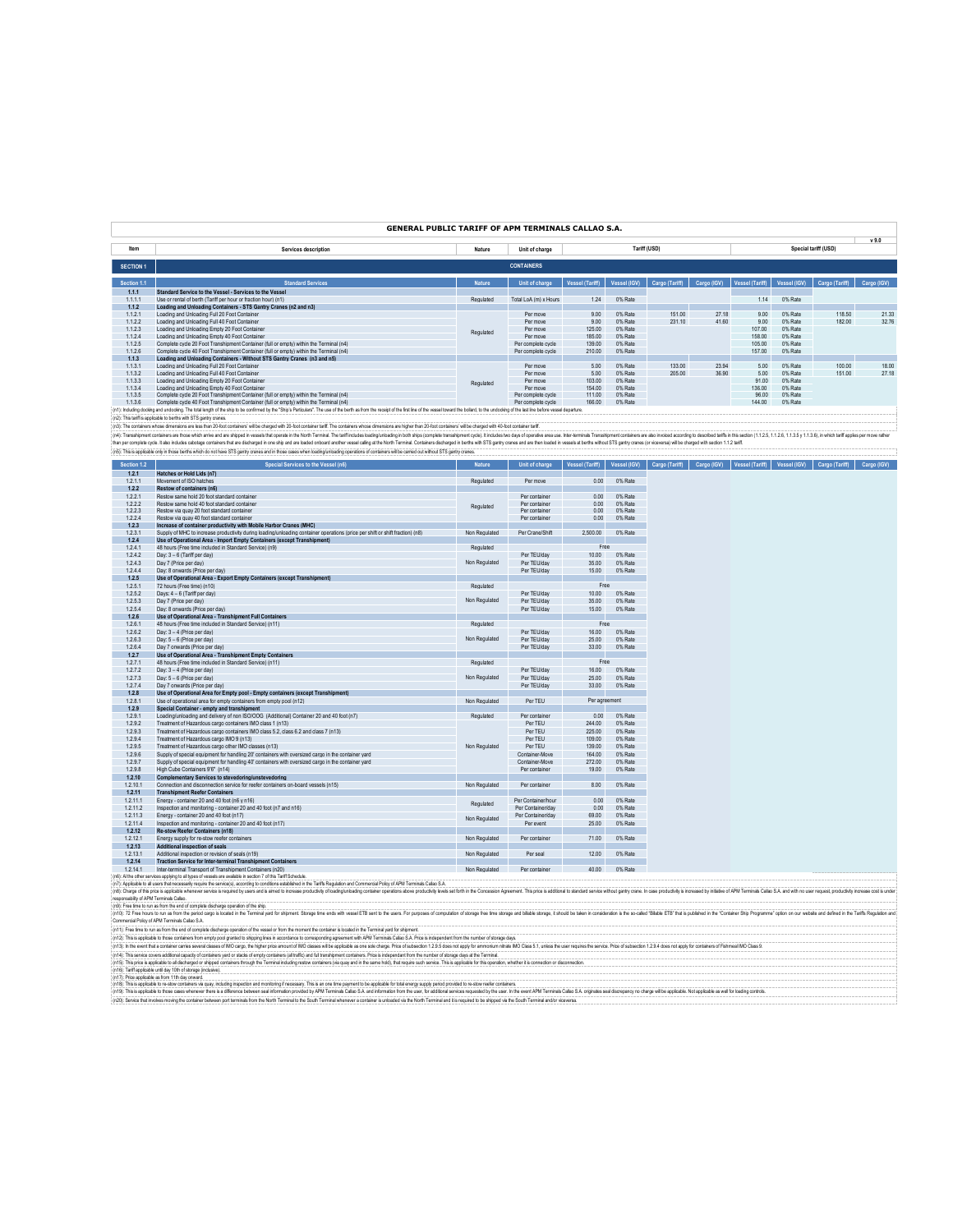| <b>GENERAL PUBLIC TARIFF OF APM TERMINALS CALLAO S.A.</b> |  |  |
|-----------------------------------------------------------|--|--|
|-----------------------------------------------------------|--|--|

|                  |                                                                                                                                                                                                                                |               |                       |                        |              |                |             |                        |              |                      | v9.0        |
|------------------|--------------------------------------------------------------------------------------------------------------------------------------------------------------------------------------------------------------------------------|---------------|-----------------------|------------------------|--------------|----------------|-------------|------------------------|--------------|----------------------|-------------|
| Item             | Services description                                                                                                                                                                                                           | Nature        | Unit of charge        |                        |              | Tariff (USD)   |             |                        |              | Special tariff (USD) |             |
|                  |                                                                                                                                                                                                                                |               |                       |                        |              |                |             |                        |              |                      |             |
| <b>SECTION 1</b> |                                                                                                                                                                                                                                |               | <b>CONTAINERS</b>     |                        |              |                |             |                        |              |                      |             |
|                  |                                                                                                                                                                                                                                |               |                       |                        |              |                |             |                        |              |                      |             |
| Section 1.1      | <b>Standard Services</b>                                                                                                                                                                                                       | <b>Nature</b> | Unit of charge        | <b>Vessel (Tariff)</b> | Vessel (IGV) | Cargo (Tariff) | Cargo (IGV) | <b>Vessel (Tariff)</b> | Vessel (IGV) | Cargo (Tariff)       | Cargo (IGV) |
| 1.1.1            | Standard Service to the Vessel - Services to the Vessel                                                                                                                                                                        |               |                       |                        |              |                |             |                        |              |                      |             |
| 1.1.1.1          | Use or rental of berth (Tariff per hour or fraction hour) (n1)                                                                                                                                                                 | Regulated     | Total LoA (m) x Hours | 1.24                   | 0% Rate      |                |             | 1.14                   | 0% Rate      |                      |             |
| 1.1.2            | Loading and Unloading Containers - STS Gantry Cranes (n2 and n3)                                                                                                                                                               |               |                       |                        |              |                |             |                        |              |                      |             |
| 1.1.2.1          | Loading and Unloading Full 20 Foot Container                                                                                                                                                                                   |               | Per move              | 9.00                   | 0% Rate      | 151.00         | 27.18       | 9.00                   | 0% Rate      | 118.50               | 21.33       |
| 1.1.2.2          | Loading and Unloading Full 40 Foot Container                                                                                                                                                                                   |               | Per move              | 9.00                   | 0% Rate      | 231.10         | 41.60       | 9.00                   | 0% Rate      | 182.00               | 32.76       |
| 1.1.2.3          | Loading and Unloading Empty 20 Foot Container                                                                                                                                                                                  | Regulated     | Per move              | 125.00                 | 0% Rate      |                |             | 107.00                 | 0% Rate      |                      |             |
| 1.1.2.4          | Loading and Unloading Empty 40 Foot Container                                                                                                                                                                                  |               | Per move              | 185.00                 | 0% Rate      |                |             | 158.00                 | 0% Rate      |                      |             |
| 1.1.2.5          | Complete cycle 20 Foot Transhipment Container (full or empty) within the Terminal (n4)                                                                                                                                         |               | Per complete cycle    | 139.00                 | 0% Rate      |                |             | 105.00                 | 0% Rate      |                      |             |
| 1.1.2.6          | Complete cycle 40 Foot Transhipment Container (full or empty) within the Terminal (n4)                                                                                                                                         |               | Per complete cycle    | 210.00                 | 0% Rate      |                |             | 157.00                 | 0% Rate      |                      |             |
| 1.1.3            | Loading and Unloading Containers - Without STS Gantry Cranes (n3 and n5)                                                                                                                                                       |               |                       |                        |              |                |             |                        |              |                      |             |
| 1.1.3.1          | Loading and Unloading Full 20 Foot Container                                                                                                                                                                                   |               | Per move              | 5.00                   | 0% Rate      | 133.00         | 23.94       | 5.00                   | 0% Rate      | 100.00               | 18.00       |
| 1.1.3.2          | Loading and Unloading Full 40 Foot Container                                                                                                                                                                                   |               | Per move              | 5.00                   | 0% Rate      | 205.00         | 36.90       | 5.00                   | 0% Rate      | 151.00               | 27.18       |
| 1.1.3.3          | Loading and Unloading Empty 20 Foot Container                                                                                                                                                                                  | Regulated     | Per move              | 103.00                 | 0% Rate      |                |             | 91.00                  | 0% Rate      |                      |             |
| 1.1.3.4          | Loading and Unloading Empty 40 Foot Container                                                                                                                                                                                  |               | Per move              | 154.00                 | 0% Rate      |                |             | 136.00                 | 0% Rate      |                      |             |
| 1.1.3.5          | Complete cycle 20 Foot Transhipment Container (full or empty) within the Terminal (n4)                                                                                                                                         |               | Per complete cycle    | 111.00                 | 0% Rate      |                |             | 96.00                  | 0% Rate      |                      |             |
| 1.1.3.6          | Complete cycle 40 Foot Transhipment Container (full or empty) within the Terminal (n4)                                                                                                                                         |               | Per complete cycle    | 166.00                 | 0% Rate      |                |             | 144.00                 | 0% Rate      |                      |             |
|                  | (n1): Including docking and undocking. The total length of the ship to be confirmed by the "Ship's Particulars". The use of the berth as from the receipt of the first line of the vessel toward the bollard, to the undocking |               |                       |                        |              |                |             |                        |              |                      |             |
|                  |                                                                                                                                                                                                                                |               |                       |                        |              |                |             |                        |              |                      |             |

(n). The surfact the splash bethe who have a statement in the other who is a statement in the content of the content of the first of the first of the content of the content of the first of the content of the contents are t m,

| Section 1.2                             | Special Services to the Vessel (n6)                                                                                                                                                                                            | <b>Nature</b> | Unit of charge             | <b>Vessel (Tariff)</b> | Vessel (IGV)       |  | Cargo (Tariff) Cargo (IGV) Vessel (Tariff) | Vessel (IGV) Cargo (Tariff) | Cargo (IGV) |
|-----------------------------------------|--------------------------------------------------------------------------------------------------------------------------------------------------------------------------------------------------------------------------------|---------------|----------------------------|------------------------|--------------------|--|--------------------------------------------|-----------------------------|-------------|
| 1.2.1                                   | Hatches or Hold Lids (n7)                                                                                                                                                                                                      |               |                            |                        |                    |  |                                            |                             |             |
| 1.2.1.1                                 | Movement of ISO hatches                                                                                                                                                                                                        | Regulated     | Per move                   | 0.00                   | 0% Rate            |  |                                            |                             |             |
| 1.2.2                                   | Restow of containers (n6)                                                                                                                                                                                                      |               |                            |                        |                    |  |                                            |                             |             |
| 1.2.2.1                                 | Restow same hold 20 foot standard container                                                                                                                                                                                    |               | Per container              | 0.00                   | 0% Rate            |  |                                            |                             |             |
| 1.2.2.2                                 | Restow same hold 40 foot standard container                                                                                                                                                                                    | Regulated     | Per container              | 0.00                   | 0% Rate            |  |                                            |                             |             |
| 1223                                    | Restow via quay 20 foot standard container                                                                                                                                                                                     |               | Per container              | 0.00                   | 0% Rate            |  |                                            |                             |             |
| 1.2.2.4<br>1.2.3                        | Restow via quay 40 foot standard container<br>Increase of container productivity with Mobile Harbor Cranes (MHC)                                                                                                               |               | Per container              | 0.00                   | 0% Rate            |  |                                            |                             |             |
| 1.2.3.1                                 | Supply of MHC to increase productivity during loading/unloading container operations (price per shift or shift fraction) (n8)                                                                                                  | Non Regulated | Per Crane/Shift            | 2.500.00               | 0% Rate            |  |                                            |                             |             |
| 1.2.4                                   | Use of Operational Area - Import Empty Containers (except Transhipment)                                                                                                                                                        |               |                            |                        |                    |  |                                            |                             |             |
| 1.2.4.1                                 | 48 hours (Free time included in Standard Service) (n9)                                                                                                                                                                         | Regulated     |                            | Free                   |                    |  |                                            |                             |             |
| 1.2.4.2                                 | Day: 3 - 6 (Tariff per day)                                                                                                                                                                                                    |               | Per TEU/day                | 10.00                  | 0% Rate            |  |                                            |                             |             |
| 1.2.4.3                                 | Day 7 (Price per day)                                                                                                                                                                                                          | Non Regulated | Per TEU/day                | 35.00                  | 0% Rate            |  |                                            |                             |             |
| 1.2.4.4                                 | Day: 8 onwards (Price per day)                                                                                                                                                                                                 |               | Per TEU/day                | 15.00                  | 0% Rate            |  |                                            |                             |             |
| 1.2.5                                   | Use of Operational Area - Export Empty Containers (except Transhipment)                                                                                                                                                        |               |                            |                        |                    |  |                                            |                             |             |
| 1.2.5.1                                 | 72 hours (Free time) (n10)                                                                                                                                                                                                     | Regulated     |                            | Free                   |                    |  |                                            |                             |             |
| 1.2.5.2                                 | Days: 4 - 6 (Tariff per day)                                                                                                                                                                                                   |               | Per TEU/day                | 10.00                  | 0% Rate            |  |                                            |                             |             |
| 1.2.5.3                                 | Day 7 (Price per day)                                                                                                                                                                                                          | Non Regulated | Per TEU/day                | 35.00                  | 0% Rate            |  |                                            |                             |             |
| 1.2.5.4                                 | Day: 8 onwards (Price per day)                                                                                                                                                                                                 |               | Per TEU/day                | 15.00                  | 0% Rate            |  |                                            |                             |             |
| 1.2.6                                   | Use of Operational Area - Transhipment Full Containers                                                                                                                                                                         |               |                            |                        |                    |  |                                            |                             |             |
| 1.2.6.1                                 | 48 hours (Free time included in Standard Service) (n11)                                                                                                                                                                        | Regulated     |                            | Free                   |                    |  |                                            |                             |             |
| 1.2.6.2                                 | Day: 3 - 4 (Price per day)                                                                                                                                                                                                     |               | Per TEU/day                | 16.00                  | 0% Rate            |  |                                            |                             |             |
| 1.2.6.3                                 | Day: 5 - 6 (Price per day)                                                                                                                                                                                                     | Non Regulated | Per TEU/day                | 25.00                  | 0% Rate            |  |                                            |                             |             |
| 1.2.6.4                                 | Day 7 onwards (Price per day)                                                                                                                                                                                                  |               | Per TEU/day                | 33.00                  | 0% Rate            |  |                                            |                             |             |
| 1.2.7                                   | Use of Operational Area - Transhipment Empty Containers                                                                                                                                                                        |               |                            |                        |                    |  |                                            |                             |             |
| 1.2.7.1                                 | 48 hours (Free time included in Standard Service) (n11)                                                                                                                                                                        | Regulated     |                            | Free                   |                    |  |                                            |                             |             |
| 1.2.7.2<br>1.2.7.3                      | Day: 3 - 4 (Price per day)                                                                                                                                                                                                     | Non Regulated | Per TEU/day                | 16.00                  | 0% Rate<br>0% Rate |  |                                            |                             |             |
| 1.2.7.4                                 | Day: 5 - 6 (Price per day)<br>Day 7 onwards (Price per day)                                                                                                                                                                    |               | Per TEU/day<br>Per TEU/day | 25.00<br>33.00         | 0% Rate            |  |                                            |                             |             |
| 1.2.8                                   | Use of Operational Area for Empty pool - Empty containers (except Transhipment)                                                                                                                                                |               |                            |                        |                    |  |                                            |                             |             |
| 1.2.8.1                                 | Use of operational area for empty containers from empty pool (n12)                                                                                                                                                             | Non Regulated | Per TEU                    | Per agreement          |                    |  |                                            |                             |             |
| 1.2.9                                   | Special Container - empty and transhipment                                                                                                                                                                                     |               |                            |                        |                    |  |                                            |                             |             |
| 1.2.9.1                                 | Loading/unloading and delivery of non ISO/OOG (Additional) Container 20 and 40 foot (n7)                                                                                                                                       | Regulated     | Per container              | 0.00                   | 0% Rate            |  |                                            |                             |             |
| 1.2.9.2                                 | Treatment of Hazardous cargo containers IMO class 1 (n13)                                                                                                                                                                      |               | Per TEU                    | 244.00                 | 0% Rate            |  |                                            |                             |             |
| 1.2.9.3                                 | Treatment of Hazardous cargo containers IMO class 5.2, class 6.2 and class 7 (n13)                                                                                                                                             |               | Per TEU                    | 225.00                 | 0% Rate            |  |                                            |                             |             |
| 1.2.9.4                                 | Treatment of Hazardous cargo IMO 9 (n13)                                                                                                                                                                                       |               | Per TEU                    | 109.00                 | 0% Rate            |  |                                            |                             |             |
| 1.2.9.5                                 | Treatment of Hazardous cargo other IMO classes (n13)                                                                                                                                                                           | Non Regulated | Per TEU                    | 139.00                 | 0% Rate            |  |                                            |                             |             |
| 1.2.9.6                                 | Supply of special equipment for handling 20' containers with oversized cargo in the container yard                                                                                                                             |               | Container-Move             | 164.00                 | 0% Rate            |  |                                            |                             |             |
| 1.2.9.7                                 | Supply of special equipment for handling 40' containers with oversized cargo in the container vard                                                                                                                             |               | Container-Move             | 272.00                 | 0% Rate            |  |                                            |                             |             |
| 1.2.9.8                                 | High Cube Containers 9'6" (n14)                                                                                                                                                                                                |               | Per container              | 19.00                  | 0% Rate            |  |                                            |                             |             |
| 1.2.10                                  | Complementary Services to stevedoring/unstevedoring                                                                                                                                                                            |               |                            |                        |                    |  |                                            |                             |             |
| 1.2.10.1                                | Connection and disconnection service for reefer containers on-board vessels (n15)                                                                                                                                              | Non Regulated | Per container              | 8.00                   | 0% Rate            |  |                                            |                             |             |
| 1.2.11                                  | <b>Transhipment Reefer Containers</b>                                                                                                                                                                                          |               |                            |                        |                    |  |                                            |                             |             |
| 1.2.11.1                                | Energy - container 20 and 40 foot (n6 y n16)                                                                                                                                                                                   | Regulated     | Per Container/hour         | 0.00                   | 0% Rate            |  |                                            |                             |             |
| 1.2.11.2                                | Inspection and monitoring - container 20 and 40 foot (n7 and n16)                                                                                                                                                              |               | Per Container/day          | 0.00                   | 0% Rate            |  |                                            |                             |             |
| 1.2.11.3                                | Energy - container 20 and 40 foot (n17)                                                                                                                                                                                        | Non Regulated | Per Container/day          | 69.00                  | 0% Rate            |  |                                            |                             |             |
| 1.2.11.4<br>1.2.12                      | Inspection and monitoring - container 20 and 40 foot (n17)<br>Re-stow Reefer Containers (n18)                                                                                                                                  |               | Per event                  | 25.00                  | 0% Rate            |  |                                            |                             |             |
| 1.2.12.1                                | Energy supply for re-stow reefer containers                                                                                                                                                                                    | Non Regulated | Per container              | 71.00                  | 0% Rate            |  |                                            |                             |             |
| 1.2.13                                  | Additional inspection of seals                                                                                                                                                                                                 |               |                            |                        |                    |  |                                            |                             |             |
| 1.2.13.1                                | Additional inspection or revision of seals (n19)                                                                                                                                                                               | Non Regulated | Per seal                   | 12.00                  | 0% Rate            |  |                                            |                             |             |
| 1.2.14                                  | <b>Traction Service for Inter-terminal Transhipment Containers</b>                                                                                                                                                             |               |                            |                        |                    |  |                                            |                             |             |
| 1.2.14.1                                | Inter-terminal Transport of Transhipment Containers (n20)                                                                                                                                                                      | Non Regulated | Per container              | 40.00                  | 0% Rate            |  |                                            |                             |             |
|                                         | n6): Al the other services applying to all types of vessels are available in section 7 of this Tariff Schedule.                                                                                                                |               |                            |                        |                    |  |                                            |                             |             |
|                                         | (n7): Applicable to all users that necessarily require the service(s), according to conditions established in the Tariffs Regulation and Commercial Policy of APM Terminals Callao S.A.                                        |               |                            |                        |                    |  |                                            |                             |             |
|                                         | n8): Charge of this price is applicable whenever service is required by users and is aimed to increase productivity of loading unrase productivity levels above productivity evels set forth in the Concession Agreement. This |               |                            |                        |                    |  |                                            |                             |             |
| responsability of APM Terminals Callao. |                                                                                                                                                                                                                                |               |                            |                        |                    |  |                                            |                             |             |
|                                         | n9): Free time to run as from the end of complete discharge operation of the ship.                                                                                                                                             |               |                            |                        |                    |  |                                            |                             |             |
|                                         | (n10): 72 Free hours to run as from the period cargo is located in the Terminal yard for shipment. Storage time ends with vessel ETB sent to the users. For purposes of computation of storage free time storage and billable  |               |                            |                        |                    |  |                                            |                             |             |
|                                         | Commercial Policy of APM Terminals Callao S.A.                                                                                                                                                                                 |               |                            |                        |                    |  |                                            |                             |             |
|                                         | (n11): Free time to run as from the end of complete discharge operation of the vessel or from the moment the container is located in the Terminal yard for shipment.                                                           |               |                            |                        |                    |  |                                            |                             |             |
|                                         | (n12): This is applicable to those containers from empty pool granted to shipping lines in accordance to corresponding agreement with APM Terminals Callao S.A. Price is independent from the number of storage days.          |               |                            |                        |                    |  |                                            |                             |             |
|                                         | (n13): In the event that a container carries several classes of IMO cargo, the higher price amount of IMO classes will be applicable as one sole charge. Price of subsection 1.2.9.5 does not apply for ammonium nitrate IMO C |               |                            |                        |                    |  |                                            |                             |             |
|                                         | (n14): This service covers additional capacity of containers yard or stacks of empty containers (all traffic) and full transhipment containers. Price is independant from the number of storage days at the Terminal           |               |                            |                        |                    |  |                                            |                             |             |

(n15). The procedure in disclusion of the property of the comment of the state of the state of the state of the state of the state of the state of the state of the state of the state of the state of the state of the state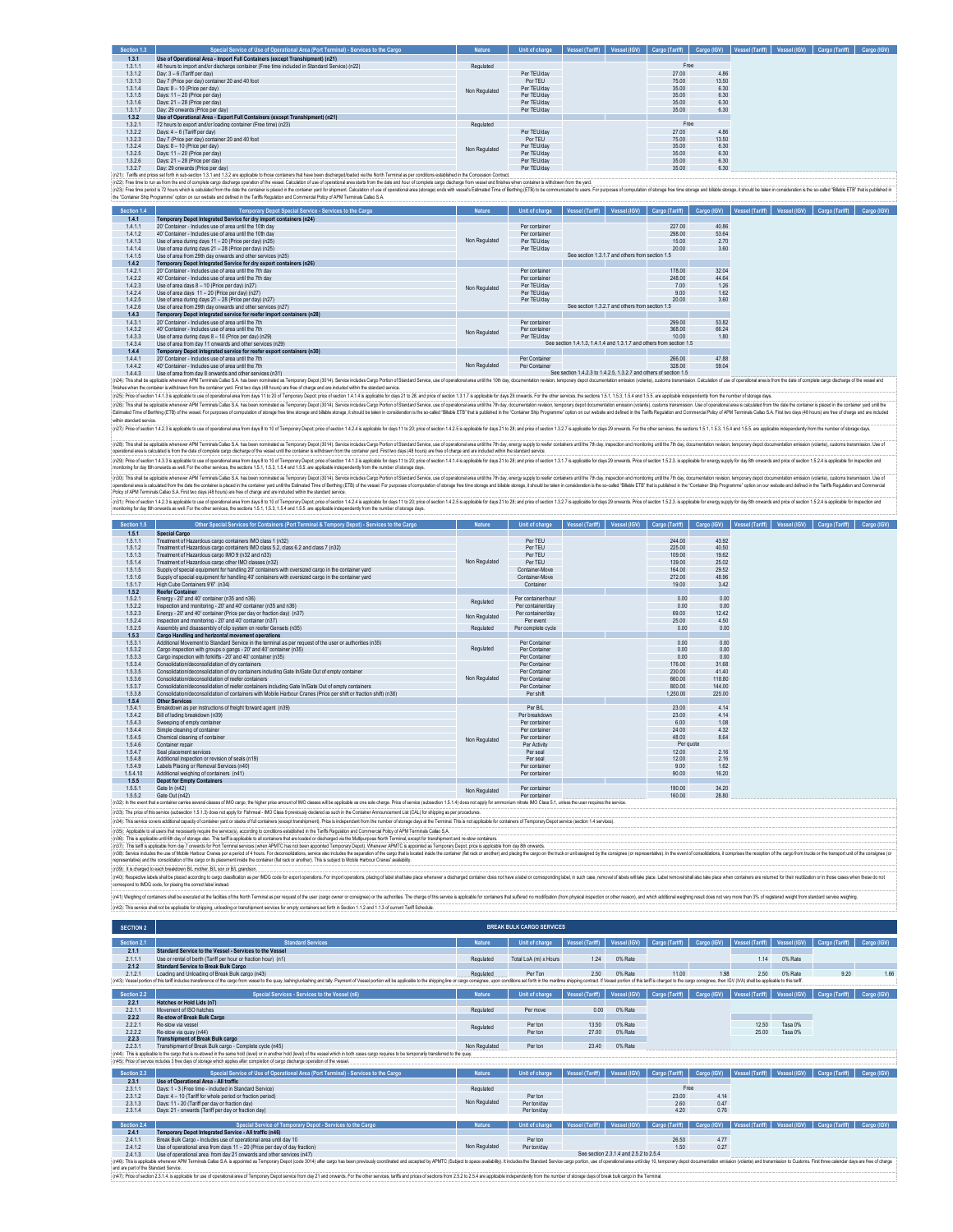| Section 1.3 | Special Service of Use of Operational Area (Port Terminal) - Services to the Cargo           | <b>Nature</b> | Unit of charge |  | Vessel (Tariff)   Vessel (IGV)   Cargo (Tariff)   Cargo (IGV) |       | Vessel (Tariff) | Vessel (IGV) Cargo (Tariff) | Cargo (IGV) |
|-------------|----------------------------------------------------------------------------------------------|---------------|----------------|--|---------------------------------------------------------------|-------|-----------------|-----------------------------|-------------|
| 1.3.1       | Use of Operational Area - Import Full Containers (except Transhipment) (n21)                 |               |                |  |                                                               |       |                 |                             |             |
| 1.3.1.1     | 48 hours to import and/or discharge container (Free time included in Standard Service) (n22) | Regulated     |                |  | Free                                                          |       |                 |                             |             |
| 1.3.1.2     | Day: 3 - 6 (Tariff per day)                                                                  |               | Per TEU/day    |  | 27.00                                                         | 4.86  |                 |                             |             |
| 1.3.1.3     | Day 7 (Price per day) container 20 and 40 foot                                               |               | Por TEU        |  | 75.00                                                         | 13.50 |                 |                             |             |
| 1.3.1.4     | Days: 8 - 10 (Price per day)                                                                 | Non Regulated | Per TEU/day    |  | 35.00                                                         | 6.30  |                 |                             |             |
| 1.3.1.5     | Days: 11 - 20 (Price per day)                                                                |               | Per TEU/day    |  | 35.00                                                         | 6.30  |                 |                             |             |
| 1.3.1.6     | Days: 21 - 28 (Price per day)                                                                |               | Per TEU/day    |  | 35.00                                                         | 6.30  |                 |                             |             |
| 1.3.1.7     | Day: 29 onwards (Price per day)                                                              |               | Per TEU/day    |  | 35.00                                                         | 6.30  |                 |                             |             |
| 1.3.2       | Use of Operational Area - Export Full Containers (except Transhipment) (n21)                 |               |                |  |                                                               |       |                 |                             |             |
| 1.3.2.1     | 72 hours to export and/or loading container (Free time) (n23)                                | Regulated     |                |  | Free                                                          |       |                 |                             |             |
| 1.3.2.2     | Days: 4 - 6 (Tariff per day)                                                                 |               | Per TEU/day    |  | 27.00                                                         | 4.86  |                 |                             |             |
| 1.3.2.3     | Day 7 (Price per day) container 20 and 40 foot                                               |               | Por TEU        |  | 75.00                                                         | 13.50 |                 |                             |             |
| 1.3.2.4     | Days: 8 - 10 (Price per day)                                                                 | Non Regulated | Per TEU/day    |  | 35.00                                                         | 6.30  |                 |                             |             |
| 1.3.2.5     | Days: 11 - 20 (Price per day)                                                                |               | Per TEU/day    |  | 35.00                                                         | 6.30  |                 |                             |             |
| 1.3.2.6     | Days: 21 - 28 (Price per day)                                                                |               | Per TEU/day    |  | 35.00                                                         | 6.30  |                 |                             |             |
| 1.3.2.7     | Day: 29 onwards (Price per day)                                                              |               | Per TEU/day    |  | 35.00                                                         | 6.30  |                 |                             |             |

1.3.2.7 Day: 29 onwards (Price per day) Per TEU/day 35.00 6.30 (n21): Tariffs and prices set forth in sub-section 1.3.1 and 1.3.2 are applicable to those containers that have been discharged/loaded via the North Terminal as per conditions established in the Concession Contract. (n22): Free time to run as from the end of complete cargo discharge operation of the vessel. Calculation of use of operational area starts from the date and hour of complete cargo discharge from vessel and finishes when container is withdrawn from the yard. (n23): Free time period is 72 hours which is calculated from the date the container is placed in the container yard for shipment. Calculation of use of operational area (storage) ends with vessel's Estimated Time of Berthing (ETB) to be communicated to users. For purposes of computation of storage free time storage and billable storage, it should be taken in consideration is the so-called "Billable ETB" that is published in the "Container Ship Programme" option on our website and defined in the Tariffs Regulation and Commercial Policy of APM Terminals Callao S.A.

| Section 1.4 | Temporary Depot Special Service - Services to the Cargo               | Nature        | Unit of charge | Vessel (Tariff) | Vessel (IGV)                                    | Cargo (Tariff)                                                       | Cargo (IGV) | Vessel (Tariff) | Vessel (IGV) | Cargo (Tariff) | Cargo (IGV) |
|-------------|-----------------------------------------------------------------------|---------------|----------------|-----------------|-------------------------------------------------|----------------------------------------------------------------------|-------------|-----------------|--------------|----------------|-------------|
| 1.4.1       | Temporary Depot Integrated Service for dry import containers (n24)    |               |                |                 |                                                 |                                                                      |             |                 |              |                |             |
| 1.4.1.1     | 20' Container - Includes use of area until the 10th day               |               | Per container  |                 |                                                 | 227.00                                                               | 40.86       |                 |              |                |             |
| 1.4.1.2     | 40' Container - Includes use of area until the 10th day               |               | Per container  |                 |                                                 | 298.00                                                               | 53.64       |                 |              |                |             |
| 1.4.1.3     | Use of area during days 11 - 20 (Price per day) (n25)                 | Non Regulated | Per TEU/day    |                 |                                                 | 15.00                                                                | 2.70        |                 |              |                |             |
| 1.4.1.4     | Use of area during days 21 - 28 (Price per day) (n25)                 |               | Per TEU/day    |                 |                                                 | 20.00                                                                | 3.60        |                 |              |                |             |
| 1.4.1.5     | Use of area from 29th day onwards and other services (n25).           |               |                |                 | See section 1.3.1.7 and others from section 1.5 |                                                                      |             |                 |              |                |             |
| 1.4.2       | Temporary Depot Integrated Service for dry export containers (n26)    |               |                |                 |                                                 |                                                                      |             |                 |              |                |             |
| 1.4.2.1     | 20' Container - Includes use of area until the 7th day                |               | Per container  |                 |                                                 | 178.00                                                               | 32.04       |                 |              |                |             |
| 1.4.2.2     | 40' Container - Indudes use of area until the 7th day                 |               | Per container  |                 |                                                 | 248.00                                                               | 44.64       |                 |              |                |             |
| 1.4.2.3     | Use of area days 8 - 10 (Price per day) (n27)                         | Non Regulated | Per TEU/day    |                 |                                                 | 7.00                                                                 | 1.26        |                 |              |                |             |
| 1.4.2.4     | Use of area days $11 - 20$ (Price per day) (n27)                      |               | Per TEU/day    |                 |                                                 | 9.00                                                                 | 1.62        |                 |              |                |             |
| 1.4.2.5     | Use of area during days 21 - 28 (Price per day) (n27)                 |               | Per TEU/day    |                 |                                                 | 2000                                                                 | 3.60        |                 |              |                |             |
| 1.4.2.6     | Use of area from 29th day onwards and other services (n27)            |               |                |                 | See section 1.3.2.7 and others from section 1.5 |                                                                      |             |                 |              |                |             |
| 1.4.3       | Temporary Depot integrated service for reefer import containers (n28) |               |                |                 |                                                 |                                                                      |             |                 |              |                |             |
| 1.4.3.1     | 20' Container - Includes use of area until the 7th                    |               | Per container  |                 |                                                 | 299.00                                                               | 53.82       |                 |              |                |             |
| 1.4.3.2     | 40' Container - Includes use of area until the 7th                    | Non Regulated | Per container  |                 |                                                 | 368.00                                                               | 66.24       |                 |              |                |             |
| 1.4.3.3     | Use of area during days 8 - 10 (Price per day) (n29)                  |               | Per TEU/day    |                 |                                                 | 10.00                                                                | 1.80        |                 |              |                |             |
| 1.4.3.4     | Use of area from day 11 onwards and other services (n29)              |               |                |                 |                                                 | See section 1.4.1.3. 1.4.1.4 and 1.3.1.7 and others from section 1.5 |             |                 |              |                |             |
| 1.4.4       | Temporary Depot integrated service for reefer export containers (n30) |               |                |                 |                                                 |                                                                      |             |                 |              |                |             |
| 1441        | 20' Container - Includes use of area until the 7th                    |               | Per Container  |                 |                                                 | 266.00                                                               | 47.88       |                 |              |                |             |
| 1.4.4.2     | 40' Container - Includes use of area until the 7th                    | Non Regulated | Per Container  |                 |                                                 | 328.00                                                               | 59.04       |                 |              |                |             |
| .           |                                                                       |               |                |                 |                                                 |                                                                      |             |                 |              |                |             |

 $144.3 Use of a real formula for a linear combination of the samples of the number of elements. The number of elements are the number of elements. The number of elements are the number of elements. The number of elements are the number of elements. The number of elements are the number of elements. The number of elements are the number of elements. The number of elements are the number of elements. The number of elements are the number of elements. The number of elements are the number of elements are the number of elements. The number of elements are the number of elements are the number of elements. The number of elements are the number of elements are the number of elements. The number of elements are the number of elements are the number of elements. The number of elements are the number of elements are the number of elements. The number of elements are the number of elements are the number of elements. The number of elements are the number of elements are the number of elements. The number of elements are the number of elements are the number of elements. The number of elements are the number$ with attacks the construction of constructions of the construction of the construction of the construction of the construction of the construction of the construction of the construction of the construction of the construc

(n2)) ins all a splaid where MM Eminis Calls St. Insteam nominal is increased (2011, Series incompart) in the main of the main of the main of the main of the main of the main of the main of the main of the main of the main

(n3); This side applicite whener APM Temials Calles SA has been nomined as Temporary Deput (2014), Senke indust Calley Deputy and the constraint and the compartion of the comparty in the comparty in the comparty of the com

(n3) how obsects a main that the state of the download and the state of all and the state of the state of the 2012 and the state of the state of the state of the state of the state of the state of the state of the state of

| Section 1.5 | Other Special Services for Containers (Port Terminal & Tempory Depot) - Services to the Cargo                                                                                                                                  | <b>Nature</b> | Unit of charge     | <b>Vessel (Tariff)</b> | Vessel (IGV) | Cargo (Tariff) | Cargo (IGV) | <b>Vessel</b> (Tariff | Vessel (IGV) | Cargo (Tariff) | Cargo (IGV) |
|-------------|--------------------------------------------------------------------------------------------------------------------------------------------------------------------------------------------------------------------------------|---------------|--------------------|------------------------|--------------|----------------|-------------|-----------------------|--------------|----------------|-------------|
| 1.5.1       | Special Cargo                                                                                                                                                                                                                  |               |                    |                        |              |                |             |                       |              |                |             |
| 1.5.1.1     | Treatment of Hazardous cargo containers IMO class 1 (n32)                                                                                                                                                                      |               | Per TEU            |                        |              | 244.00         | 43.92       |                       |              |                |             |
| 1.5.1.2     | Treatment of Hazardous cargo containers IMO class 5.2, class 6.2 and class 7 (n32)                                                                                                                                             |               | Per TEU            |                        |              | 225.00         | 40.50       |                       |              |                |             |
| 1.5.1.3     | Treatment of Hazardous caroo IMO 9 (n32 and n33).                                                                                                                                                                              |               | Per TEU            |                        |              | 109.00         | 19.62       |                       |              |                |             |
| 1.5.1.4     | Treatment of Hazardous cargo other IMO classes (n32)                                                                                                                                                                           | Non Regulated | Per TEU            |                        |              | 139.00         | 25.02       |                       |              |                |             |
| 1.5.1.5     | Supply of special equipment for handling 20' containers with oversized cargo in the container vard                                                                                                                             |               | Container-Move     |                        |              | 164.00         | 29.52       |                       |              |                |             |
| 1.5.1.6     | Supply of special equipment for handling 40' containers with oversized cargo in the container vard                                                                                                                             |               | Container-Move     |                        |              | 272.00         | 48.96       |                       |              |                |             |
| 1.5.1.7     | High Cube Containers 9'6" (n34)                                                                                                                                                                                                |               | Container          |                        |              | 19.00          | 3.42        |                       |              |                |             |
| 1.5.2       | <b>Reefer Container</b>                                                                                                                                                                                                        |               |                    |                        |              |                |             |                       |              |                |             |
| 1.5.2.1     | Energy - 20' and 40' container (n35 and n36).                                                                                                                                                                                  | Regulated     | Per container/hour |                        |              | 0.00           | 0.00        |                       |              |                |             |
| 1.5.2.2     | Inspection and monitoring - 20' and 40' container (n35 and n36)                                                                                                                                                                |               | Per container/day  |                        |              | 0.00           | 0.00        |                       |              |                |             |
| 1.5.2.3     | Energy - 20' and 40' container (Price per day or fraction day) (n37)                                                                                                                                                           | Non Regulated | Per container/day  |                        |              | 69.00          | 12.42       |                       |              |                |             |
| 1.5.2.4     | Inspection and monitoring - 20' and 40' container (n37).                                                                                                                                                                       |               | Per event          |                        |              | 25.00          | 4.50        |                       |              |                |             |
| 1.5.2.5     | Assembly and disassembly of clip system on reefer Gensets (n35)                                                                                                                                                                | Regulated     | Per complete cycle |                        |              | 0.00           | 0.00        |                       |              |                |             |
| 1.5.3       | Cargo Handling and horizontal movement operations                                                                                                                                                                              |               |                    |                        |              |                |             |                       |              |                |             |
| 1.5.3.1     | Additional Movement to Standard Service in the terminal as per request of the user or authorities (n35)                                                                                                                        |               | Per Container      |                        |              | 0.00           | 0.00        |                       |              |                |             |
| 1.5.3.2     | Caroo inspection with groups o gangs - 20' and 40' container (n35).                                                                                                                                                            | Regulated     | Per Container      |                        |              | 0.00           | 0.00        |                       |              |                |             |
| 1.5.3.3     | Cargo inspection with forklifts - 20' and 40' container (n35)                                                                                                                                                                  |               | Per Container      |                        |              | 0.00           | 0.00        |                       |              |                |             |
| 1.5.3.4     | Consolidation/deconsolidation of dry containers                                                                                                                                                                                |               | Per Container      |                        |              | 176.00         | 31.68       |                       |              |                |             |
| 1.5.3.5     | Consolidation/deconsolidation of dry containers including Gate In/Gate Out of empty container                                                                                                                                  |               | Per Container      |                        |              | 230.00         | 41.40       |                       |              |                |             |
| 1.5.3.6     | Consolidation/deconsolidation of reefer containers                                                                                                                                                                             | Non Regulated | Per Container      |                        |              | 660.00         | 118.80      |                       |              |                |             |
| 1.5.3.7     | Consolidation/deconsolidation of reefer containers including Gate In/Gate Out of empty containers                                                                                                                              |               | Per Container      |                        |              | 800.00         | 144.00      |                       |              |                |             |
| 1.5.3.8     | Consolidation/deconsolidation of containers with Mobile Harbour Cranes (Price per shift or fraction shift) (n38)                                                                                                               |               | Per shift          |                        |              | 1,250.00       | 225.00      |                       |              |                |             |
| 1.5.4       | Other Services                                                                                                                                                                                                                 |               |                    |                        |              |                |             |                       |              |                |             |
| 1.5.4.1     | Breakdown as per instructions of freight forward agent (n39)                                                                                                                                                                   |               | Per B/L            |                        |              | 23.00          | 4.14        |                       |              |                |             |
| 1.5.4.2     | Bill of lading breakdown (n39)                                                                                                                                                                                                 |               | Per breakdown      |                        |              | 23.00          | 4.14        |                       |              |                |             |
| 1.5.4.3     | Sweeping of empty container                                                                                                                                                                                                    |               | Per container      |                        |              | 6.00           | 1.08        |                       |              |                |             |
| 1.5.4.4     | Simple cleaning of container                                                                                                                                                                                                   |               | Per container      |                        |              | 24.00          | 4.32        |                       |              |                |             |
| 1.5.4.5     | Chemical cleaning of container                                                                                                                                                                                                 | Non Regulated | Per container      |                        |              | 48.00          | 8.64        |                       |              |                |             |
| 1.5.4.6     | Container renair                                                                                                                                                                                                               |               | Per Activity       |                        |              | Per guote      |             |                       |              |                |             |
| 1.5.4.7     | Seal placement services                                                                                                                                                                                                        |               | Per seal           |                        |              | 12.00          | 2.16        |                       |              |                |             |
| 1.5.4.8     | Additional inspection or revision of seals (n19)                                                                                                                                                                               |               | Per seal           |                        |              | 12.00          | 2.16        |                       |              |                |             |
| 1.5.4.9     | Labels Placing or Removal Services (n40)                                                                                                                                                                                       |               | Per container      |                        |              | 9.00           | 1.62        |                       |              |                |             |
| 1.5.4.10    | Additional weighing of containers (n41)                                                                                                                                                                                        |               | Per container      |                        |              | 90.00          | 16.20       |                       |              |                |             |
| 1.5.5       | <b>Depot for Empty Containers</b>                                                                                                                                                                                              |               |                    |                        |              |                |             |                       |              |                |             |
| 1.5.5.1     | Gate In (n42)                                                                                                                                                                                                                  | Non Regulated | Per container      |                        |              | 190.00         | 34.20       |                       |              |                |             |
| 1.5.5.2     | Gate Out (n42)                                                                                                                                                                                                                 |               | Per container      |                        |              | 160.00         | 28.80       |                       |              |                |             |
|             | (n32): In the event that a container carries several classes of IMO cargo, the higher price amount of IMO classes will be applicable as one sole charge. Price of service (subsection 1.5.1.4) does not apply for ammonium nit |               |                    |                        |              |                |             |                       |              |                |             |

(n33). The price of this service (subsection 1.5.1.3) does not apply the Tables State of Many declared as such in the Container Amouncement Lia( (CAL) for shipping as per procedures.<br>(n34): This amouncement and accountain

representative) and the consolidation of the cargo or its placement inside the or  $(0.39)$ : It is charged to each breakdown B/L mother, B/L son or B/L grandson. (nS). This applicable of the of the off something the main of the state of the main of the main of the main of the main experiment of the main of the main of the main of the main of the main of the main of the main of the

n as per IMDG code for export operations. For import operations, placing of label shall take place whenever a discharged container does not have a label or corresponding label, in such case; removel of labels will take pla .<br>(n40): Respective labels shall be placed according to cargo classifical<br>correspond to IMDG code, for placing the correct label instead.

(M) Weging of contains shall be excuted at the factor of the form of the person of the company of the authority of the second and the factor in the second and the second and the contained in a state of the contained on the .<br>(n42): This service shall not be applicable for shipping, unloading or transhipment services for empty containers set forth in Section 1.1.2 and 1.1.3 of current Tariff Sche

| <b>SECTION 2</b> |                                                                                                                                                                                                                                                                                                                                               |               | <b>BREAK BULK CARGO SERVICES</b> |                 |              |                            |             |                 |              |                                             |             |
|------------------|-----------------------------------------------------------------------------------------------------------------------------------------------------------------------------------------------------------------------------------------------------------------------------------------------------------------------------------------------|---------------|----------------------------------|-----------------|--------------|----------------------------|-------------|-----------------|--------------|---------------------------------------------|-------------|
| Section 2.1      | <b>Standard Services</b>                                                                                                                                                                                                                                                                                                                      | <b>Nature</b> | Unit of charge                   | Vessel (Tariff) | Vessel (IGV) | Cargo (Tariff)             | Cargo (IGV) | Vessel (Tariff) | Vessel (IGV) | Cargo (Tariff)                              | Cargo (IGV) |
| 2.1.1            | Standard Service to the Vessel - Services to the Vessel                                                                                                                                                                                                                                                                                       |               |                                  |                 |              |                            |             |                 |              |                                             |             |
| 2.1.1.1          | Use or rental of berth (Tariff per hour or fraction hour) (n1)                                                                                                                                                                                                                                                                                | Regulated     | Total LoA (m) x Hours            | 1.24            | 0% Rate      |                            |             | 1.14            | 0% Rate      |                                             |             |
| 2.1.2            | <b>Standard Service to Break Bulk Cargo</b>                                                                                                                                                                                                                                                                                                   |               |                                  |                 |              |                            |             |                 |              |                                             |             |
| 2.1.2.1          | Loading and Unloading of Break Bulk cargo (n43)                                                                                                                                                                                                                                                                                               | Regulated     | Per Ton                          | 2.50            | 0% Rate      | 11.00                      | 1.98        | 2.50            | 0% Rate      | 9.20                                        | 1.66        |
|                  | (n43): Vessel portion of this tariff includes transference of the cargo from vessel to the quay, lashinglunlashing and tally. Payment of Vessel portion will be applicable to the shipping line or cargo consignee, upon condi                                                                                                                |               |                                  |                 |              |                            |             |                 |              |                                             |             |
| Section 2.2      | Special Services - Services to the Vessel (n6)                                                                                                                                                                                                                                                                                                | <b>Nature</b> | Unit of charge                   | Vessel (Tariff) | Vessel (IGV) | Cargo (Tariff)             | Cargo (IGV) | Vessel (Tariff) | Vessel (IGV) | Cargo (Tariff)                              | Cargo (IGV) |
| 2.2.1            | Hatches or Hold Lids (n7)                                                                                                                                                                                                                                                                                                                     |               |                                  |                 |              |                            |             |                 |              |                                             |             |
| 2.2.1.1          | Movement of ISO hatches                                                                                                                                                                                                                                                                                                                       | Regulated     | Per move                         | 0.00            | 0% Rate      |                            |             |                 |              |                                             |             |
| 2.2.2            | Re-stow of Break Bulk Cargo                                                                                                                                                                                                                                                                                                                   |               |                                  |                 |              |                            |             |                 |              |                                             |             |
| 2.2.2.1          | Re-stow via vessel                                                                                                                                                                                                                                                                                                                            | Regulated     | Perton                           | 13.50           | 0% Rate      |                            |             | 12.50           | Tasa 0%      |                                             |             |
| 2.2.2.2          | Re-stow via guay (n44)                                                                                                                                                                                                                                                                                                                        |               | Per ton                          | 27.00           | 0% Rate      |                            |             | 25.00           | Tasa 0%      |                                             |             |
| 2.2.3            | <b>Transhipment of Break Bulk cargo</b>                                                                                                                                                                                                                                                                                                       |               |                                  |                 |              |                            |             |                 |              |                                             |             |
| 2.2.3.1          | Transhipment of Break Bulk cargo - Complete cycle (n45)                                                                                                                                                                                                                                                                                       | Non Regulated | Per ton                          | 23.40           | 0% Rate      |                            |             |                 |              |                                             |             |
|                  | (n44): This is applicable to the cargo that is re-stowed in the same hold (level) or in another hold (level) of the vessel which in both cases cargo requires to be temporarily transferred to the quay<br>(n45): Price of service includes 3 free days of storage which applies after completion of cargo discharge operation of the vessel. |               |                                  |                 |              |                            |             |                 |              |                                             |             |
|                  |                                                                                                                                                                                                                                                                                                                                               |               |                                  |                 |              |                            |             |                 |              |                                             |             |
| Section 2.3      | Special Service of Use of Operational Area (Port Terminal) - Services to the Cargo                                                                                                                                                                                                                                                            | <b>Nature</b> | Unit of charge                   | Vessel (Tariff) | Vessel (IGV) | Cargo (Tariff)             | Cargo (IGV) | Vessel (Tariff) | Vessel (IGV) | Cargo (Tariff)                              | Cargo (IGV) |
| 2.3.1            | Use of Operational Area - All traffic                                                                                                                                                                                                                                                                                                         |               |                                  |                 |              |                            |             |                 |              |                                             |             |
| 2.3.1.1          | Days: 1 - 3 (Free time - included in Standard Service)                                                                                                                                                                                                                                                                                        | Regulated     |                                  |                 |              | Free                       |             |                 |              |                                             |             |
| 2.3.1.2          | Days: 4 - 10 (Tariff for whole period or fraction period)                                                                                                                                                                                                                                                                                     |               | Per ton                          |                 |              | 23.00                      | 4.14        |                 |              |                                             |             |
| 2.3.1.3          | Days: 11 - 20 (Tariff per day or fraction day)                                                                                                                                                                                                                                                                                                | Non Regulated | Per ton/day                      |                 |              | 2.60                       | 0.47        |                 |              |                                             |             |
| 2.3.1.4          | Days: 21 - onwards (Tariff per day or fraction day)                                                                                                                                                                                                                                                                                           |               | Per ton/day                      |                 |              | 4.20                       | 0.76        |                 |              |                                             |             |
|                  |                                                                                                                                                                                                                                                                                                                                               |               |                                  |                 |              |                            |             |                 |              |                                             |             |
| Section 2.4      | Special Service of Temporary Depot - Services to the Cargo                                                                                                                                                                                                                                                                                    | <b>Nature</b> | Unit of charge                   | Vessel (Tariff) | Vessel (IGV) | Cargo (Tariff) Cargo (IGV) |             |                 |              | Vessel (Tariff) Vessel (IGV) Cargo (Tariff) | Cargo (IGV) |
| 2.4.1            | Temporary Depot Integrated Service - All traffic (n46)                                                                                                                                                                                                                                                                                        |               |                                  |                 |              |                            |             |                 |              |                                             |             |
| 2.4.1.1          | Break Bulk Caroo - Includes use of operational area until day 10                                                                                                                                                                                                                                                                              |               | Per ton                          |                 |              | 26.50                      | 4.77        |                 |              |                                             |             |
| 2.4.1.2          | Use of operational area from days 11 - 20 (Price per day of day fraction)                                                                                                                                                                                                                                                                     | Non Regulated | Per ton/day                      |                 |              | 1.50                       | 0.27        |                 |              |                                             |             |

2.4.1.2 Use of operational area from days 11-20 (Price per day fraction) Per day of day of day of day of day fraction of day in the service of the services of the services of the services of the services of the services (n See section 2.3.1.4 and 2.5.2 to 2.5.4 (n46): This is applicable whenever APM Terminals Calao S.A. is appointed as Temporary Depot (code 3014) after cargo has been previously coordinated and accepted by APMTC (Subject to space availablity). It includes the Stan

and are part of the Standard Service ்ளமான வளமையை .<br>`` [ndf) Pice of setton 23.1.4 is applicable for use of operational area of Temporary Depot service from day 21 and onwards. For the other services, tarths and prices of sections from 25.2 to 25.4 are appli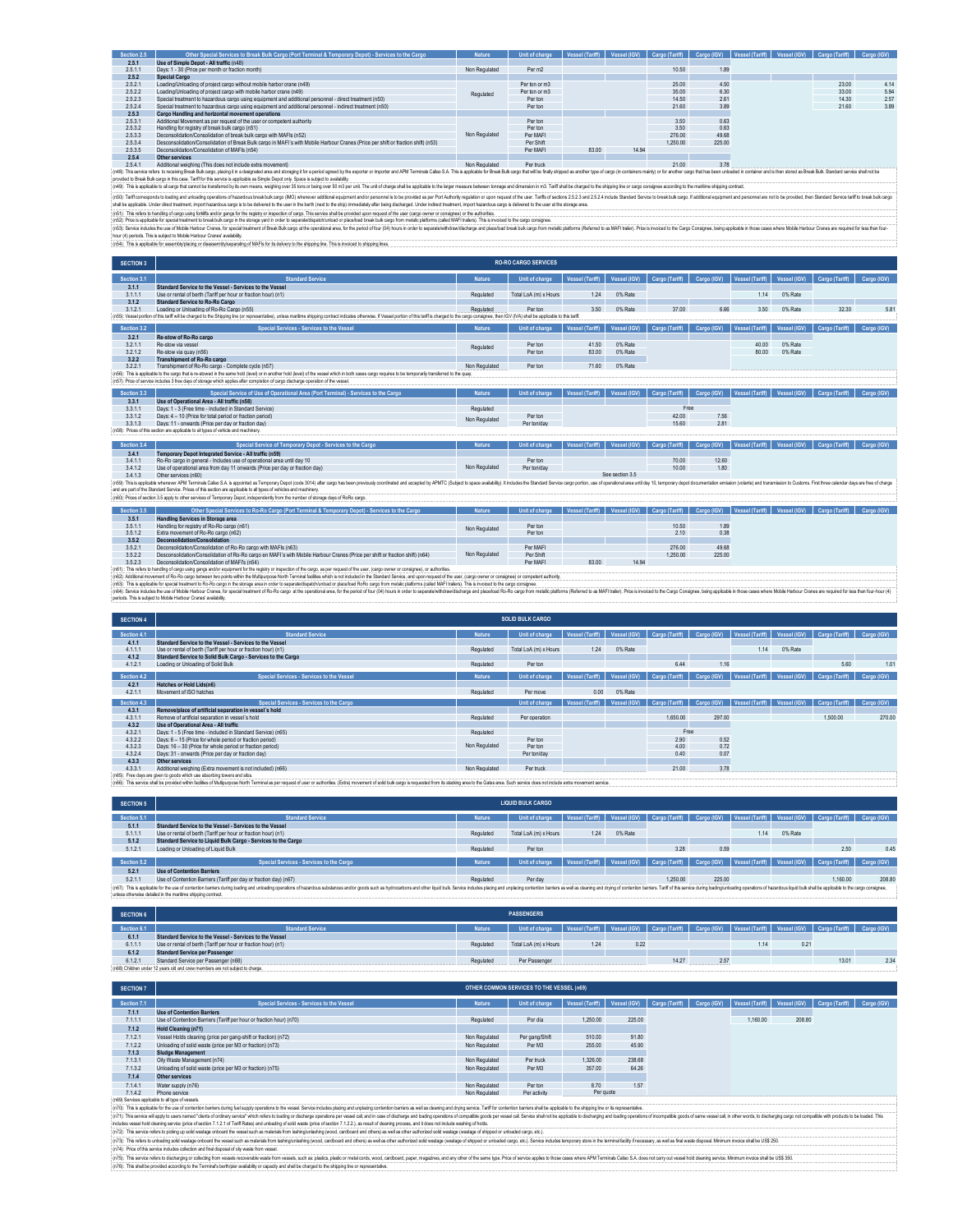| Section 2.5 | Other Special Services to Break Bulk Cargo (Port Terminal & Temporary Depot) - Services to the Cargo                                                                                                                           | <b>Nature</b> | Unit of charge | Vessel (Tariff) | Vessel (IGV) | Cargo (Tariff) | Cargo (IGV) | Vessel (Tanff) | Vessel (IGV) | Cargo (Tariff) | Cargo (IGV) |
|-------------|--------------------------------------------------------------------------------------------------------------------------------------------------------------------------------------------------------------------------------|---------------|----------------|-----------------|--------------|----------------|-------------|----------------|--------------|----------------|-------------|
| 2.5.1       | Use of Simple Depot - All traffic (n48)                                                                                                                                                                                        |               |                |                 |              |                |             |                |              |                |             |
| 2.5.1.1     | Days: 1 - 30 (Price per month or fraction month)                                                                                                                                                                               | Non Regulated | Per m2         |                 |              | 10.50          | 1.89        |                |              |                |             |
| 2.5.2       | <b>Special Cargo</b>                                                                                                                                                                                                           |               |                |                 |              |                |             |                |              |                |             |
| 2.5.2.1     | Loading/Unloading of project cargo without mobile harbor crane (n49)                                                                                                                                                           |               | Per ton or m3  |                 |              | 25.00          | 4.50        |                |              | 23.00          | 4.14        |
| 2.5.2.2     | Loading/Unloading of project cargo with mobile harbor crane (n49)                                                                                                                                                              | Regulated     | Per ton or m3  |                 |              | 35.00          | 6.30        |                |              | 33.00          | 5.94        |
| 2.5.2.3     | Special treatment to hazardous cargo using equipment and additional personnel - direct treatment (n50)                                                                                                                         |               | Per ton        |                 |              | 14.50          | 2.61        |                |              | 14.30          | 2.57        |
| 2.5.2.4     | Special treatment to hazardous cargo using equipment and additional personnel - indirect treatment (n50)                                                                                                                       |               | Per ton        |                 |              | 21.60          | 3.89        |                |              | 21.60          | 3.89        |
| 2.5.3       | <b>Cargo Handling and horizontal movement operations</b>                                                                                                                                                                       |               |                |                 |              |                |             |                |              |                |             |
| 2.5.3.1     | Additional Movement as per request of the user or competent authority                                                                                                                                                          |               | Per ton        |                 |              | 3.50           | 0.63        |                |              |                |             |
| 2.5.3.2     | Handling for registry of break bulk cargo (n51)                                                                                                                                                                                |               | Per ton        |                 |              | 3.50           | 0.63        |                |              |                |             |
| 2.5.3.3     | Deconsolidation/Consolidation of break bulk cargo with MAFIs (n52)                                                                                                                                                             | Non Regulated | Per MAFI       |                 |              | 276.00         | 49.68       |                |              |                |             |
| 2.5.3.4     | Desconsolidation/Consolidation of Break Bulk cargo in MAEI's with Mobile Harbour Cranes (Price per shift or fraction shift) (p53)                                                                                              |               | Per Shift      |                 |              | 1.250.00       | 225.00      |                |              |                |             |
| 2.5.3.5     | Deconsolidation/Consolidation of MAFIs (n54)                                                                                                                                                                                   |               | Per MAFI       | 83.00           | 14.94        |                |             |                |              |                |             |
| 2.5.4       | Other services                                                                                                                                                                                                                 |               |                |                 |              |                |             |                |              |                |             |
| 2541        | Additional weighing (This does not include extra movement)                                                                                                                                                                     | Non Regulated | Per truck      |                 |              | 21.00          | 3.78        |                |              |                |             |
|             | : (n48): This service refers to receiving Break Bulk caron placing it is designated area and storaging if the nend aread by the exporter or importer and APM Terminals Callan S.A. This is angloshle for Break Bulk caron that |               |                |                 |              |                |             |                |              |                |             |

(n4): This snice nets in reaking Best Bukango, plang in a selection of the space of the space of the space of mail of the space of the space of the space of the space of the space of the space of the space of the space of

(r6))) afforesynds badnsfg gredios of a state that says the member additional and the membership in the state of the state of the state of the state of the state of the state of the state of the state of the state of the s

(it5)). This rebs blanding dargo using to illustration comparts in the report and the section of the standard controller and the standard of the standard of the standard in the model of the about the standard in the model

.<br>ding of MAFIs for its delivery to the shipping line. This is invoiced to shipping lines hour (4) periods. This is subject to Mobile Harbour Cranes' availability.<br>(n54): This is applicable for assembly/placing or disassembly/separating

SECTION 3 Section 3.1 | Nature | Unit of charge | Vessel (Tariff) | Vessel (Tariff) | Vessel (Tariff) | Cargo (Tariff) | Cargo (Tariff) | Vessel (Tariff) | Cargo (Tariff) | Cargo (Tariff) | Cargo (Tariff) | Cargo (Tariff) | Cargo (I **3.1.1 Standard Service to the Vessel - Services to the Vessel**  3.1.1.1 Use or rental of berth (Tariff per hour or fraction hour) (n1) Regulated Total LoA (m) x Hours 1.24 0% Rate 1.14 0% Rate **3.1.2 Standard Service to Ro-Ro Cargo** 3.1.2.1 Loading or Unloading of Ro-Ro Cargo (n55) Regulated Per ton 3.50 0% Rate 37.00 6.66 3.50 0% Rate 32.30 5.81 n55) Vesel poton of the last will be changed to the Shippine (or appealate), when and ine shipping contact indicates of a will be the seal poton of the last dicales of a will be applicate to the concept of the change | Ves **3.2.1 Re-stow of Ro-Ro cargo** 3.2.1.1 Re-stow via vessel Per ton 41.50 0% Rate 40.00 0% Rate ა∠… ne>sww.wiewsexel controlled a controlled a constant and a constant and a constant and a constant and a constant<br>3.2.1.2 Re-sbw.viatouay(n56) - 80.00 0% Rabb **3.2.2 Transhipment of Ro-Ro cargo** 322.1 Transhipment of Ro-Rocaroo-Complete cycle (n57)<br>(ri65; This is goptable to example that search of Length or a nother hold (evel) of the vessel which in both cases cargo requires to be temporally transferred to the qu Nature | Unit of charge | Vessel (Tariff) | Vessel (IGV) | Cargo (Tariff) | Cargo (IGV) | Vessel (Tariff) | Cargo (Tariff) | Cargo (Tariff) | Cargo (IGV) | Cargo (IGV) | Cargo (IGV) | Cargo (IGV) | Cargo (IGV) | Cargo (IGV **3.3.1 Use of Operational Area - All traffic (n58)** 3.3.1.1 Days: 1 - 3 (Free time - included in Standard Service) Regulated 3.3.1.2 Days: 4 – 10 (Price for total period or fraction period) Per ton 42.00 7.56 3.3.1.3 Days: 11 - onwards (Price per day or fraction day) Per ton/day 15.60 2.81 Section 34.1 Temporary Decol Interacted Service -All traffic in S91 (S9)<br>34.1 Temporary Decolutions are entered to the Case of Oceanic Instant Indiansies are and day to membering the Case of Decision to Care in the Case of Free Non Regulated (a) 3.3.1.3 Days: 11 - onwards (Price per day or fraction day)<br>(158): Prices of this section are applicable to all types of vehicle and machinery. Non Regulated See section 3.5 **RO-RO CARGO SERVICES**

| Section 3.5 | Other Special Services to Ro-Ro Cargo (Port Terminal & Temporary Depot) - Services to the Cargo                              | Nature        | Unit of charge |       |       |          |        | Vessel (Tariff)   Vessel (IGV)   Cargo (Tariff)   Cargo (IGV)   Vessel (Tariff)   Vessel (IGV)   Cargo (Tariff)   Cargo (IGV) |  |  |
|-------------|------------------------------------------------------------------------------------------------------------------------------|---------------|----------------|-------|-------|----------|--------|-------------------------------------------------------------------------------------------------------------------------------|--|--|
| 3.5.1       | Handling Services in Storage area                                                                                            |               |                |       |       |          |        |                                                                                                                               |  |  |
| 3.5.1.1     | Handling for registry of Ro-Ro cargo (n61)                                                                                   | Non Regulated | Perton         |       |       | 10.50    | 1.89   |                                                                                                                               |  |  |
| 3.5.1.2     | Extra movement of Ro-Ro cargo (n62)                                                                                          |               | Per ton        |       |       | 2.10     | 0.38   |                                                                                                                               |  |  |
| 3.5.2       | Deconsolidation/Consolidation                                                                                                |               |                |       |       |          |        |                                                                                                                               |  |  |
| 3.5.2.1     | Deconsolidation/Consolidation of Ro-Ro cargo with MAFIs (n63)                                                                |               | Per MAFI       |       |       | 276.00   | 49.68  |                                                                                                                               |  |  |
| 3.5.2.2     | Desconsolidation/Consolidation of Ro-Ro cargo en MAFI's with Mobile Harbour Cranes (Price per shift or fraction shift) (n64) | Non Regulated | Per Shift      |       |       | 1.250.00 | 225.00 |                                                                                                                               |  |  |
| 3523        | Deconsolidation/Consolidation of MAFI's (n54)                                                                                |               | Per MAFI       | 83.00 | 14 94 |          |        |                                                                                                                               |  |  |

35.03 Deconomidation Company of the experiment of the experiment of the respect of the range and of the respect of the range of the range (cargo owner or consignes), or arrivation of the respect of the range of the respect

| <b>SECTION 4</b> |                                                                |               | <b>SOLID BULK CARGO</b> |                        |              |                                                                                                                               |             |                        |              |                |             |
|------------------|----------------------------------------------------------------|---------------|-------------------------|------------------------|--------------|-------------------------------------------------------------------------------------------------------------------------------|-------------|------------------------|--------------|----------------|-------------|
| Section 4.1      | <b>Standard Service</b>                                        | <b>Nature</b> | Unit of charge          | Vessel (Tariff)        | Vessel (IGV) | Cargo (Tariff)                                                                                                                | Cargo (IGV) | Vessel (Tariff)        | Vessel (IGV) | Cargo (Tariff) | Cargo (IGV) |
| 4.1.1            | Standard Service to the Vessel - Services to the Vessel        |               |                         |                        |              |                                                                                                                               |             |                        |              |                |             |
| 4.1.1.1          | Use or rental of berth (Tariff per hour or fraction hour) (n1) | Regulated     | Total LoA (m) x Hours   | 1.24                   | 0% Rate      |                                                                                                                               |             | 1 1 4                  | 0% Rate      |                |             |
| 4.1.2            | Standard Service to Solid Bulk Cargo - Services to the Cargo   |               |                         |                        |              |                                                                                                                               |             |                        |              |                |             |
| 4121             | Loading or Unloading of Solid Bulk                             | Regulated     | Per ton                 |                        |              | 6.44                                                                                                                          | 1.16        |                        |              | 5.60           | 1.01        |
| Section 4.2      | Special Services - Services to the Vessel                      | <b>Nature</b> | Unit of charge          | <b>Vessel (Tariff)</b> | Vessel (IGV) | Cargo (Tariff)                                                                                                                | Cargo (IGV) | <b>Vessel (Tariff)</b> | Vessel (IGV) | Cargo (Tariff) | Cargo (IGV) |
| 4.2.1            | Hatches or Hold Lids(n6)                                       |               |                         |                        |              |                                                                                                                               |             |                        |              |                |             |
| 4.2.1.1          | Movement of ISO hatches                                        | Regulated     | Per move                | 0.00                   | 0% Rate      |                                                                                                                               |             |                        |              |                |             |
| Section 4.3      | Special Services - Services to the Cargo                       |               | Unit of charge          |                        |              | Vessel (Tariff)   Vessel (IGV)   Cargo (Tariff)   Cargo (IGV)   Vessel (Tariff)   Vessel (IGV)   Cargo (Tariff)   Cargo (IGV) |             |                        |              |                |             |
| 4.3.1            | Remove/place of artificial separation in vessel's hold         |               |                         |                        |              |                                                                                                                               |             |                        |              |                |             |
| 4.3.1.1          | Remove of artificial separation in vessel's hold               | Regulated     | Per operation           |                        |              | 1.650.00                                                                                                                      | 297.00      |                        |              | 1.500.00       | 270.00      |
| 4.3.2            | Use of Operational Area - All traffic                          |               |                         |                        |              |                                                                                                                               |             |                        |              |                |             |
| 4.3.2.1          | Days: 1 - 5 (Free time - included in Standard Service) (n65)   | Regulated     |                         |                        |              | Free                                                                                                                          |             |                        |              |                |             |
| 4.3.2.2          | Days: 6 - 15 (Price for whole period or fraction period)       |               | Per ton                 |                        |              | 2.90                                                                                                                          | 0.52        |                        |              |                |             |
| 4.3.2.3          | Days: 16 - 30 (Price for whole period or fraction period)      | Non Regulated | Per ton                 |                        |              | 4.00                                                                                                                          | 0.72        |                        |              |                |             |
| 4324             | Days: 31 - onwards (Price per day or fraction day)             |               | Per ton/day             |                        |              | 0.40                                                                                                                          | 0.07        |                        |              |                |             |
| 4.3.3            | Other services                                                 |               |                         |                        |              |                                                                                                                               |             |                        |              |                |             |
| 4.3.3.1          | Additional weighing (Extra movement is not included) (n66)     | Non Regulated | Per truck               |                        |              | 21.00                                                                                                                         | 3.78        |                        |              |                |             |

(n65): Free day are given to goods with use absolute players and side.<br>(n65): This service shall be provided with facilities of Multipurpose North Emmal as per request of use or authorities. (Edra) movement of sold bulk ca

| <b>SECTION 5</b> |                                                                                                                                                                                                                                |           | <b>LIQUID BULK CARGO</b> |      |         |                                                                                 |        |      |         |                                                                                                                               |             |
|------------------|--------------------------------------------------------------------------------------------------------------------------------------------------------------------------------------------------------------------------------|-----------|--------------------------|------|---------|---------------------------------------------------------------------------------|--------|------|---------|-------------------------------------------------------------------------------------------------------------------------------|-------------|
| Section 5.1      | <b>Standard Service</b>                                                                                                                                                                                                        | Nature    | Unit of charge           |      |         |                                                                                 |        |      |         | Vessel (Tariff)   Vessel (IGV)   Cargo (Tariff)   Cargo (IGV)   Vessel (Tariff)   Vessel (IGV)   Cargo (Tariff)   Cargo (IGV) |             |
| 5.1.1            | Standard Service to the Vessel - Services to the Vessel                                                                                                                                                                        |           |                          |      |         |                                                                                 |        |      |         |                                                                                                                               |             |
| 5.1.1.1          | Use or rental of berth (Tariff per hour or fraction hour) (n1)                                                                                                                                                                 | Regulated | Total LoA (m) x Hours    | 1.24 | 0% Rate |                                                                                 |        | 1.14 | 0% Rate |                                                                                                                               |             |
| 5.1.2            | Standard Service to Liquid Bulk Cargo - Services to the Cargo                                                                                                                                                                  |           |                          |      |         |                                                                                 |        |      |         |                                                                                                                               |             |
| 5.1.2.1          | Loading or Unloading of Liquid Bulk                                                                                                                                                                                            | Regulated | Per ton                  |      |         | 3.28                                                                            | 0.59   |      |         | 2.50                                                                                                                          | 0.45        |
|                  |                                                                                                                                                                                                                                |           |                          |      |         |                                                                                 |        |      |         |                                                                                                                               |             |
| Section 5.2      | Special Services - Services to the Cargo                                                                                                                                                                                       | Nature.   | Unit of charge           |      |         | Vessel (Tariff)   Vessel (IGV)   Cargo (Tariff)   Cargo (IGV)   Vessel (Tariff) |        |      |         | Vessel (IGV) Cargo (Tariff)                                                                                                   | Cargo (IGV) |
| 5.2.1            | <b>Use of Contention Barriers</b>                                                                                                                                                                                              |           |                          |      |         |                                                                                 |        |      |         |                                                                                                                               |             |
| 5.2.1.1          | Use of Contention Barriers (Tariff per day or fraction day) (n67)                                                                                                                                                              | Regulated | Per day                  |      |         | 1.250.00                                                                        | 225.00 |      |         | 1.160.00                                                                                                                      | 208.80      |
|                  | (n67): This is applicable for the use of contention barriers during hading and unloading operations of hazardous substances andolor goods such as hydrocarbons and other liguid bulk. Service including contention barriers as |           |                          |      |         |                                                                                 |        |      |         |                                                                                                                               |             |
|                  | unless otherwise detailed in the maritime shipping contract.                                                                                                                                                                   |           |                          |      |         |                                                                                 |        |      |         |                                                                                                                               |             |

| <b>SECTION 6</b> |                                                                               |               | <b>PASSENGERS</b>                                                                                                                              |      |      |       |           |      |      |       |      |
|------------------|-------------------------------------------------------------------------------|---------------|------------------------------------------------------------------------------------------------------------------------------------------------|------|------|-------|-----------|------|------|-------|------|
| Section 6.1      | <b>Standard Service</b>                                                       | <b>Nature</b> | Unit of charge   Vessel (Tariff)   Vessel (IGV)   Cargo (Tariff)   Cargo (IGV)   Vessel (Tariff)   Vessel (IGV)   Cargo (Tariff)   Cargo (IGV) |      |      |       |           |      |      |       |      |
| 6.1.1            | Standard Service to the Vessel - Services to the Vessel                       |               |                                                                                                                                                |      |      |       |           |      |      |       |      |
| 6.1.1.1          | Use or rental of berth (Tariff per hour or fraction hour) (n1)                | Regulated     | Total LoA (m) x Hours                                                                                                                          | 1.24 | 0.22 |       |           | 1.14 | 0.21 |       |      |
| 6.1.2            | <b>Standard Service per Passenger</b>                                         |               |                                                                                                                                                |      |      |       |           |      |      |       |      |
| 6.1.2.1          | Standard Service per Passenger (n68)                                          | Regulated     | Per Passenger                                                                                                                                  |      |      | 14.27 | 2.57<br>. |      |      | 13.01 | 2.34 |
|                  | in68) Children under 12 years old and crew members are not subject to charge. |               |                                                                                                                                                |      |      |       |           |      |      |       |      |

| <b>SECTION 7</b>                                | OTHER COMMON SERVICES TO THE VESSEL (n69)                           |               |                |                 |        |                                         |  |                 |              |                |             |
|-------------------------------------------------|---------------------------------------------------------------------|---------------|----------------|-----------------|--------|-----------------------------------------|--|-----------------|--------------|----------------|-------------|
| Section 7.1                                     | Special Services - Services to the Vessel                           | <b>Nature</b> | Unit of charge | Vessel (Tariff) |        | Vessel (IGV) Cargo (Tariff) Cargo (IGV) |  | Vessel (Tariff) | Vessel (IGV) | Cargo (Tariff) | Cargo (IGV) |
| 7.1.1                                           | <b>Use of Contention Barriers</b>                                   |               |                |                 |        |                                         |  |                 |              |                |             |
| 7.1.1.1                                         | Use of Contention Barriers (Tariff per hour or fraction hour) (n70) | Regulated     | Por dia        | 1,250.00        | 225.00 |                                         |  | 1.160.00        | 208.80       |                |             |
| 7.1.2                                           | Hold Cleaning (n71)                                                 |               |                |                 |        |                                         |  |                 |              |                |             |
| 7.1.2.1                                         | Vessel Holds cleaning (price per gang-shift or fraction) (n72)      | Non Regulated | Per gang/Shift | 510.00          | 91.80  |                                         |  |                 |              |                |             |
| 7.1.2.2                                         | Unloading of solid waste (price per M3 or fraction) (n73)           | Non Regulated | Per M3         | 255.00          | 45.90  |                                         |  |                 |              |                |             |
| 7.1.3                                           | Sludge Management                                                   |               |                |                 |        |                                         |  |                 |              |                |             |
| 7.1.3.1                                         | Oily Waste Management (n74)                                         | Non Regulated | Per truck      | 1.326.00        | 238.68 |                                         |  |                 |              |                |             |
| 7.1.3.2                                         | Unloading of solid waste (price per M3 or fraction) (n75)           | Non Regulated | Per M3         | 357.00          | 64.26  |                                         |  |                 |              |                |             |
| 7.14                                            | Other services                                                      |               |                |                 |        |                                         |  |                 |              |                |             |
| 7.1.4.1                                         | Water supply (n76)                                                  | Non Regulated | Per ton        | 8.70            | 1.57   |                                         |  |                 |              |                |             |
| 7.1.4.2                                         | Phone service                                                       | Non Regulated | Per activity   | Per quote       |        |                                         |  |                 |              |                |             |
| (n69) Services annicable to all type of yessels |                                                                     |               |                |                 |        |                                         |  |                 |              |                |             |

(r6)) Smiss applicible after decess.<br>(n1): This applicible the use of contriblent compared may operation to he read Sonic inclusion property and undergramminates are largest compare and decessarily environmental controller

(n3): The reform underly adverted the was lost analrel for labing labing labing local control and one and ad ones and a state affored sole advected the adverted this property whole can acknowly state in the minimal process

(nS): his anderstein decision was conclusively assume that for weak, such as platia, plate and the secure in a state of the same by the denia pop his decision and the same by his concerned and the same by his concerned and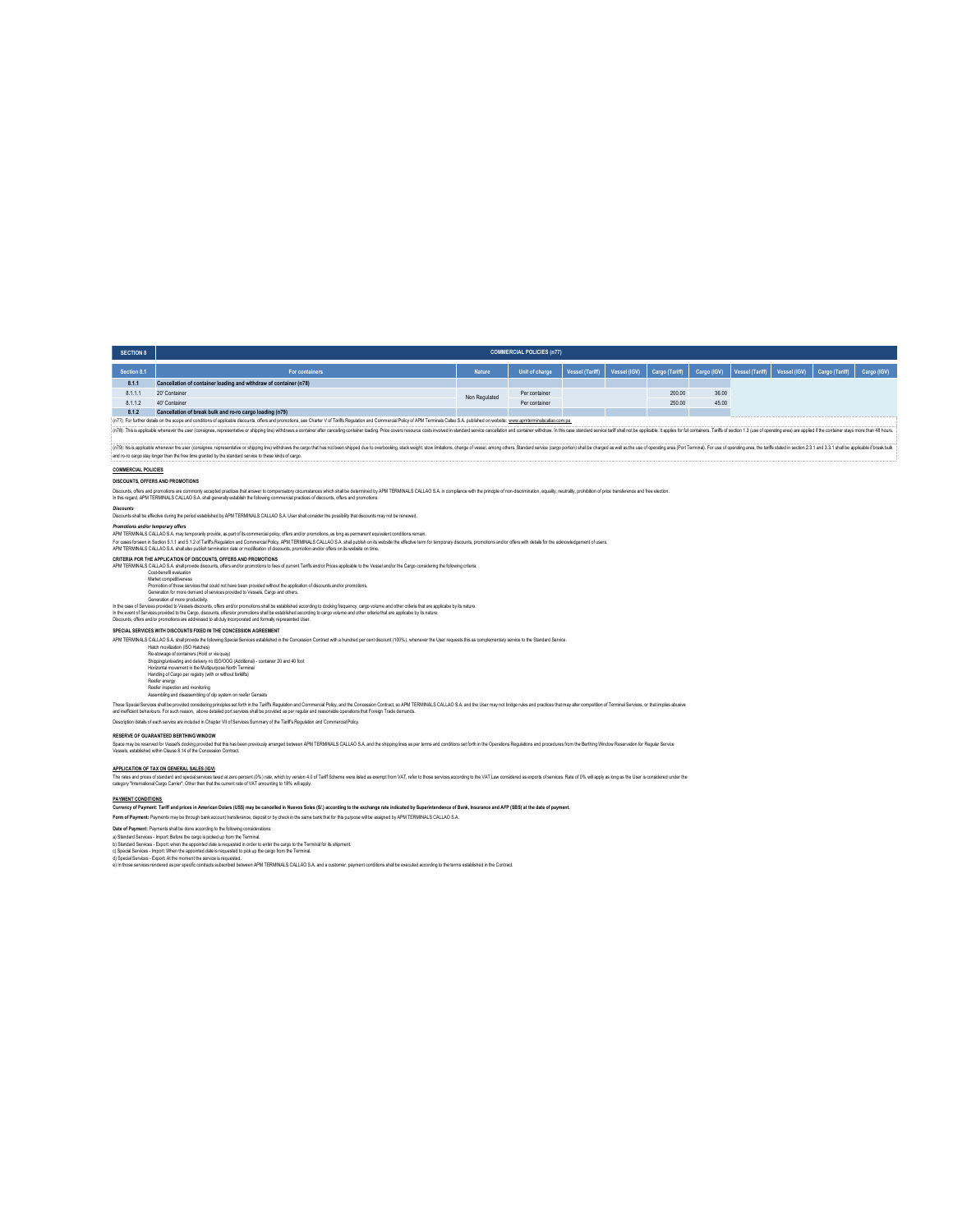| <b>SECTION 8</b>                                                                                                                                                                                                               | <b>COMMERCIAL POLICIES (n77)</b>                                  |               |                |  |  |                                                         |       |                                             |  |  |             |  |
|--------------------------------------------------------------------------------------------------------------------------------------------------------------------------------------------------------------------------------|-------------------------------------------------------------------|---------------|----------------|--|--|---------------------------------------------------------|-------|---------------------------------------------|--|--|-------------|--|
| Section 8.1                                                                                                                                                                                                                    | For containers                                                    | <b>Nature</b> | Unit of charge |  |  | Vessel (Tariff) Vessel (IGV) Cargo (Tariff) Cargo (IGV) |       | Vessel (Tariff) Vessel (IGV) Cargo (Tariff) |  |  | Cargo (IGV) |  |
| 8.1.1                                                                                                                                                                                                                          | Cancellation of container loading and withdraw of container (n78) |               |                |  |  |                                                         |       |                                             |  |  |             |  |
| 811:                                                                                                                                                                                                                           | 20' Container                                                     | Non Regulated | Per container  |  |  | 200.00                                                  | 36.00 |                                             |  |  |             |  |
| 8112                                                                                                                                                                                                                           | 40' Container                                                     |               | Per container  |  |  | 250.00                                                  | 45.00 |                                             |  |  |             |  |
| 8.1.2                                                                                                                                                                                                                          | Cancellation of break bulk and ro-ro cargo loading (n79)          |               |                |  |  |                                                         |       |                                             |  |  |             |  |
| (n77): For further details on the scope and conditions of applicable discounts, offers and promotions, see Charler V of Tariffs Regulation and Commercial Policy of APM Terminals Callao S.A. published on website: www.apmter |                                                                   |               |                |  |  |                                                         |       |                                             |  |  |             |  |
| (n78): This is applicable whenever the user (consignee, representative or shipping line) withdraws a container after cancelling container bading. Price covers resource costs involved in standard service cancellaton and con |                                                                   |               |                |  |  |                                                         |       |                                             |  |  |             |  |

(n79): his applicable whenever the user (consigne, representative or sighting the strates) the subset of these notion of the considers and weight, show inhalons, change of vessel among others. Standard service (cargo porti and ro-ro cargo stay longer than the free time granted by the standard service to these kinds of cargo.

## **COMMERCIAL POLICIES**

**DISCOUNTS, OFFERS AND PROMOTIONS**

Disconts, then and promotion are common) accepted that ensert to compensator show that is the determined the PMLERMINLS CALLAO S.A in complance with the principle of non-discrimistion, equally, neutrally, prohibition of pr

*Discounts* Discounts shall be effective during the period established by APM TERMINALS CALLAO S.A. User shall consider the possibility that discounts may not be renewed.

Promotos andor temporary affers of the provide, as part of ta comercial polcy, other andor promotions, as long as permanent equivalent conditions emain.<br>For uses forean is Secure that of the Regulation and Commercial Pole,

CRITERIA POR TELEVISION IS OFFERS AND PROMOTONS<br>ON TERMINAL CALLAD S.A that provide descutis, differ said promotons to kee of current Tarifis and/or Prices applicable to the Vessel and/or the Cargo considering the fallowin

## Generation for more demand of services provided to Vessels, Cargo and others.

.<br>In the case of Services provided to Vessels discounts, offers and/or promotions shall be established according to docking faquatory, cargo volume and other criteria that are applicabe by its nature.<br>In the event of Servi

**SPECIAL SERVICES WITH DISCOUNTS FIXED IN THE CONCESSION AGREEMENT**

APM TERMINALS CALLAO S.A. shall provide the following Special Services established in the Concession Contract with a hundred per cent discount (100%), whenever the User requests this as complementary service to the Standar

Halach movillastion (ISO Halches)<br>Re-showage of containers (Hold or via quay)<br>Shipping lunkading and delivery no ISO/DOG (Additional) - container 20 and 40 foot<br>Handing of Cargo per registry (with or without forklifts)<br>Ree

Reefer inspection and monitoring Assembling and disassembling of clip system on reefer Gensets

These Special Services and beyondering propries as to the his This Regulator and Commercial Poly, as the Concesion Contract, so APM TERMINAS CALLAO S.A. and the User may not bridge rules and practics that my also competiti

RESERVE OF QUARANTEED BERTHING WINDOW<br>Space may be reasered to Vesels docked fact this has been prevously arranged between APM TERMINALS CALLAO S.A and the stipping lines as per terms and conditions as forth in the Operati

## **APPLICATION OF TAX ON GENERAL SALES (IGV)**

The rational of presentation of special environment (Windown) that which the virole of a fart Scheme were lated as exempt form VAT, refer to those services according to the VAT Law considered as exports of excheme when the

# **PAYMENT CONDITIONS**

Currency of Payment: Tariff and prices in American Dolars (US\$) may be cancelled in Nuevos Soles (SJ), according to the exchange rate indicated by Superintendence of Bank, Insurance and AFP (SBS) at the date of payment.<br>Fo

Date of Payment: Pyrments shitle done according the following considerations:<br>a) Standard Senices - Import Belixe the cargo is pided up form in Terminal<br>a) Spaced Senices - Import When the appointed date is requested to pi